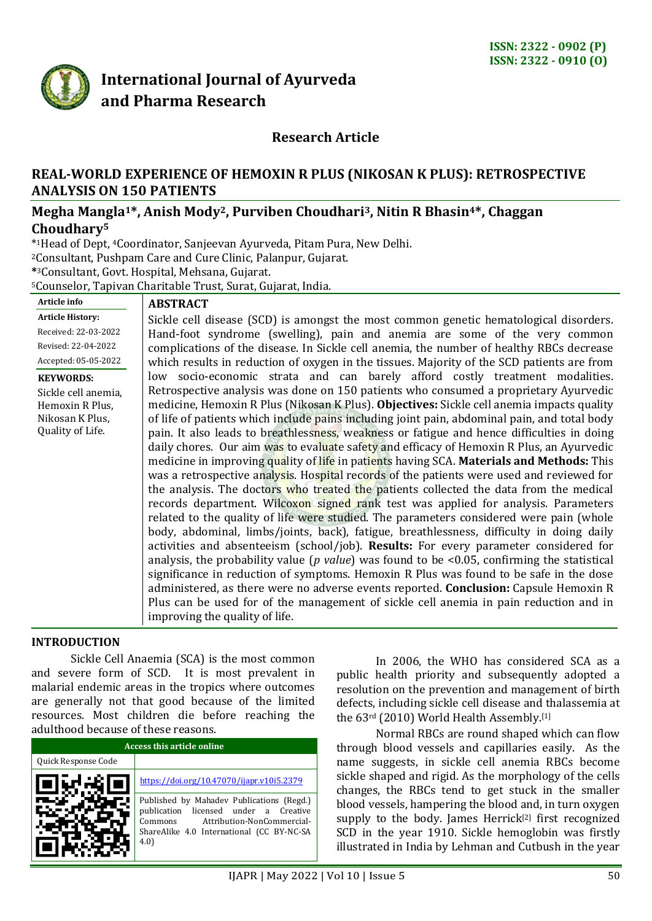

# **International Journal of Ayurveda and Pharma Research**

# **Research Article**

## **REAL-WORLD EXPERIENCE OF HEMOXIN R PLUS (NIKOSAN K PLUS): RETROSPECTIVE ANALYSIS ON 150 PATIENTS**

# **Megha Mangla1\*, Anish Mody2, Purviben Choudhari3, Nitin R Bhasin4\*, Chaggan Choudhary<sup>5</sup>**

\* <sup>1</sup>Head of Dept, 4Coordinator, Sanjeevan Ayurveda, Pitam Pura, New Delhi. <sup>2</sup>Consultant, Pushpam Care and Cure Clinic, Palanpur, Gujarat. **\*** <sup>3</sup>Consultant, Govt. Hospital, Mehsana, Gujarat.

<sup>5</sup>Counselor, Tapivan Charitable Trust, Surat, Gujarat, India.

#### **Article info Article History:**

Received: 22-03-2022 Revised: 22-04-2022

Accepted: 05-05-2022

**KEYWORDS:**

Sickle cell anemia, Hemoxin R Plus, Nikosan K Plus, Quality of Life.

#### **ABSTRACT**

Sickle cell disease (SCD) is amongst the most common genetic hematological disorders. Hand-foot syndrome (swelling), pain and anemia are some of the very common complications of the disease. In Sickle cell anemia, the number of healthy RBCs decrease which results in reduction of oxygen in the tissues. Majority of the SCD patients are from low socio-economic strata and can barely afford costly treatment modalities. Retrospective analysis was done on 150 patients who consumed a proprietary Ayurvedic medicine, Hemoxin R Plus (Nikosan K Plus). **Objectives:** Sickle cell anemia impacts quality of life of patients which include pains including joint pain, abdominal pain, and total body pain. It also leads to breathlessness, weakness or fatigue and hence difficulties in doing daily chores. Our aim was to evaluate safety and efficacy of Hemoxin R Plus, an Ayurvedic medicine in improving quality of life in patients having SCA. **Materials and Methods:** This was a retrospective analysis. Hospital records of the patients were used and reviewed for the analysis. The doctors who treated the patients collected the data from the medical records department. Wilcoxon signed rank test was applied for analysis. Parameters related to the quality of life were studied. The parameters considered were pain (whole body, abdominal, limbs/joints, back), fatigue, breathlessness, difficulty in doing daily activities and absenteeism (school/job). **Results:** For every parameter considered for analysis, the probability value (*p value*) was found to be <0.05, confirming the statistical significance in reduction of symptoms. Hemoxin R Plus was found to be safe in the dose administered, as there were no adverse events reported. **Conclusion:** Capsule Hemoxin R Plus can be used for of the management of sickle cell anemia in pain reduction and in improving the quality of life.

#### **INTRODUCTION**

Sickle Cell Anaemia (SCA) is the most common and severe form of SCD. It is most prevalent in malarial endemic areas in the tropics where outcomes are generally not that good because of the limited resources. Most children die before reaching the adulthood because of these reasons.

| Access this article online |                                                                                                                                                                                 |  |  |  |
|----------------------------|---------------------------------------------------------------------------------------------------------------------------------------------------------------------------------|--|--|--|
| Quick Response Code        |                                                                                                                                                                                 |  |  |  |
|                            | https://doi.org/10.47070/ijapr.v10i5.2379                                                                                                                                       |  |  |  |
|                            | Published by Mahadev Publications (Regd.)<br>publication licensed under a Creative<br>Attribution-NonCommercial-<br>Commons<br>ShareAlike 4.0 International (CC BY-NC-SA<br>4.0 |  |  |  |

In 2006, the WHO has considered SCA as a public health priority and subsequently adopted a resolution on the prevention and management of birth defects, including sickle cell disease and thalassemia at the 63rd (2010) World Health Assembly.<a>[1]</a>

Normal RBCs are round shaped which can flow through blood vessels and capillaries easily. As the name suggests, in sickle cell anemia RBCs become sickle shaped and rigid. As the morphology of the cells changes, the RBCs tend to get stuck in the smaller blood vessels, hampering the blood and, in turn oxygen supply to the body. James Herrick<sup>[2]</sup> first recognized SCD in the year 1910. Sickle hemoglobin was firstly illustrated in India by Lehman and Cutbush in the year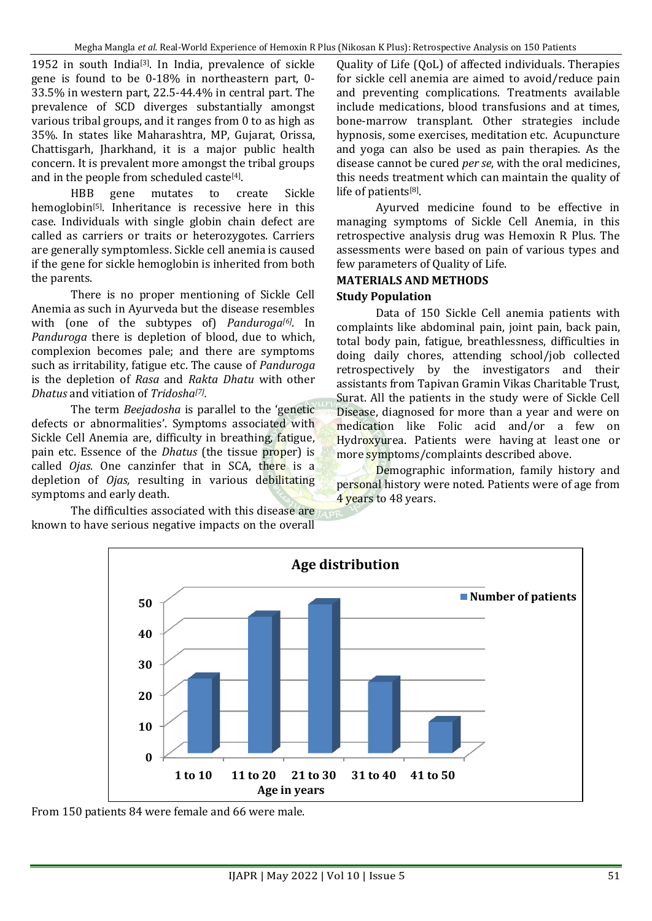1952 in south India<a>[3]</a>. In India, prevalence of sickle gene is found to be 0-18% in northeastern part, 0- 33.5% in western part, 22.5-44.4% in central part. The prevalence of SCD diverges substantially amongst various tribal groups, and it ranges from 0 to as high as 35%. In states like Maharashtra, MP, Gujarat, Orissa, Chattisgarh, Jharkhand, it is a major public health concern. It is prevalent more amongst the tribal groups and in the people from scheduled caste<sup>[4]</sup>.

HBB gene mutates to create Sickle hemoglobin<sup>[5]</sup>. Inheritance is recessive here in this case. Individuals with single globin chain defect are called as carriers or traits or heterozygotes. Carriers are generally symptomless. Sickle cell anemia is caused if the gene for sickle hemoglobin is inherited from both the parents.

There is no proper mentioning of Sickle Cell Anemia as such in Ayurveda but the disease resembles with (one of the subtypes of) *Panduroga[6]*. In *Panduroga* there is depletion of blood, due to which, complexion becomes pale; and there are symptoms such as irritability, fatigue etc. The cause of *Panduroga* is the depletion of *Rasa* and *Rakta Dhatu* with other *Dhatus* and vitiation of *Tridosha[7] .*

The term *Beejadosha* is parallel to the 'genetic defects or abnormalities'. Symptoms associated with Sickle Cell Anemia are, difficulty in breathing, fatigue, pain etc. Essence of the *Dhatus* (the tissue proper) is called *Ojas.* One canzinfer that in SCA, there is a depletion of *Ojas,* resulting in various debilitating symptoms and early death.

The difficulties associated with this disease are known to have serious negative impacts on the overall Quality of Life (QoL) of affected individuals. Therapies for sickle cell anemia are aimed to avoid/reduce pain and preventing complications. Treatments available include medications, blood transfusions and at times, bone-marrow transplant. Other strategies include hypnosis, some exercises, meditation etc. Acupuncture and yoga can also be used as pain therapies. As the disease cannot be cured *per se*, with the oral medicines, this needs treatment which can maintain the quality of life of patients<sup>[8]</sup>.

Ayurved medicine found to be effective in managing symptoms of Sickle Cell Anemia, in this retrospective analysis drug was Hemoxin R Plus. The assessments were based on pain of various types and few parameters of Quality of Life.

#### **MATERIALS AND METHODS**

#### **Study Population**

Data of 150 Sickle Cell anemia patients with complaints like abdominal pain, joint pain, back pain, total body pain, fatigue, breathlessness, difficulties in doing daily chores, attending school/job collected retrospectively by the investigators and their assistants from Tapivan Gramin Vikas Charitable Trust, Surat. All the patients in the study were of Sickle Cell Disease, diagnosed for more than a year and were on medication like Folic acid and/or a few on Hydroxyurea. Patients were having at least one or more symptoms/complaints described above.

Demographic information, family history and personal history were noted. Patients were of age from 4 years to 48 years.



From 150 patients 84 were female and 66 were male.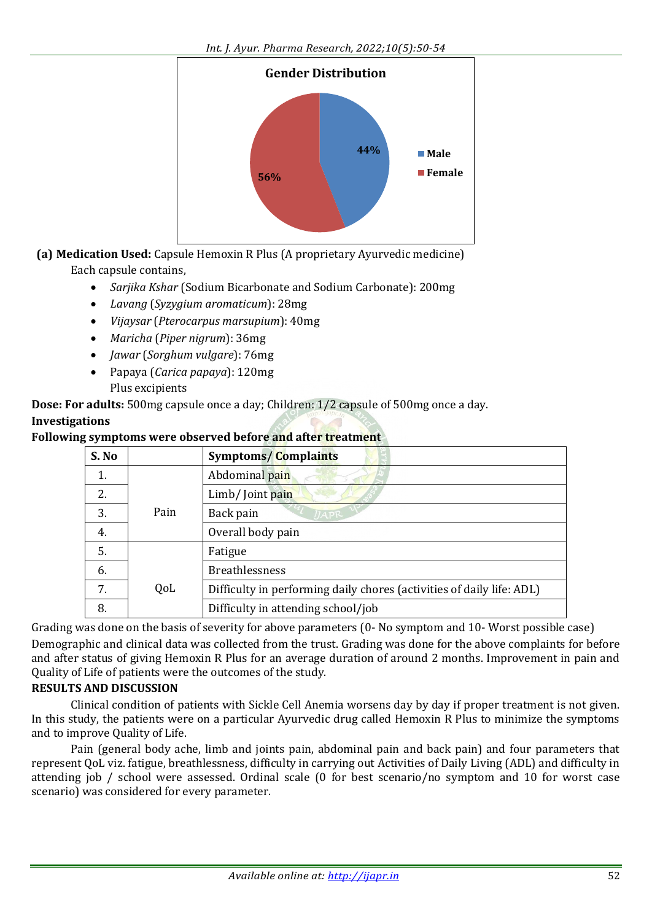

**(a) Medication Used:** Capsule Hemoxin R Plus (A proprietary Ayurvedic medicine) Each capsule contains,

- *Sarjika Kshar* (Sodium Bicarbonate and Sodium Carbonate): 200mg
- *Lavang* (*Syzygium aromaticum*): 28mg
- *Vijaysar* (*Pterocarpus marsupium*): 40mg
- *Maricha* (*Piper nigrum*): 36mg
- *Jawar* (*Sorghum vulgare*): 76mg
- Papaya (*Carica papaya*): 120mg Plus excipients

**Dose: For adults:** 500mg capsule once a day; Children: 1/2 capsule of 500mg once a day.

#### **Investigations**

#### **Following symptoms were observed before and after treatment**

| S. No |      | <b>Symptoms/Complaints</b>                                            |
|-------|------|-----------------------------------------------------------------------|
| 1.    |      | Abdominal pain                                                        |
| 2.    |      | Limb/ Joint pain                                                      |
| 3.    | Pain | Back pain<br>$\eta_{APR}$                                             |
| 4.    |      | Overall body pain                                                     |
| 5.    |      | Fatigue                                                               |
| 6.    |      | <b>Breathlessness</b>                                                 |
| 7.    | QoL  | Difficulty in performing daily chores (activities of daily life: ADL) |
| 8.    |      | Difficulty in attending school/job                                    |

Grading was done on the basis of severity for above parameters (0- No symptom and 10- Worst possible case) Demographic and clinical data was collected from the trust. Grading was done for the above complaints for before and after status of giving Hemoxin R Plus for an average duration of around 2 months. Improvement in pain and Quality of Life of patients were the outcomes of the study.

## **RESULTS AND DISCUSSION**

Clinical condition of patients with Sickle Cell Anemia worsens day by day if proper treatment is not given. In this study, the patients were on a particular Ayurvedic drug called Hemoxin R Plus to minimize the symptoms and to improve Quality of Life.

Pain (general body ache, limb and joints pain, abdominal pain and back pain) and four parameters that represent QoL viz. fatigue, breathlessness, difficulty in carrying out Activities of Daily Living (ADL) and difficulty in attending job / school were assessed. Ordinal scale (0 for best scenario/no symptom and 10 for worst case scenario) was considered for every parameter.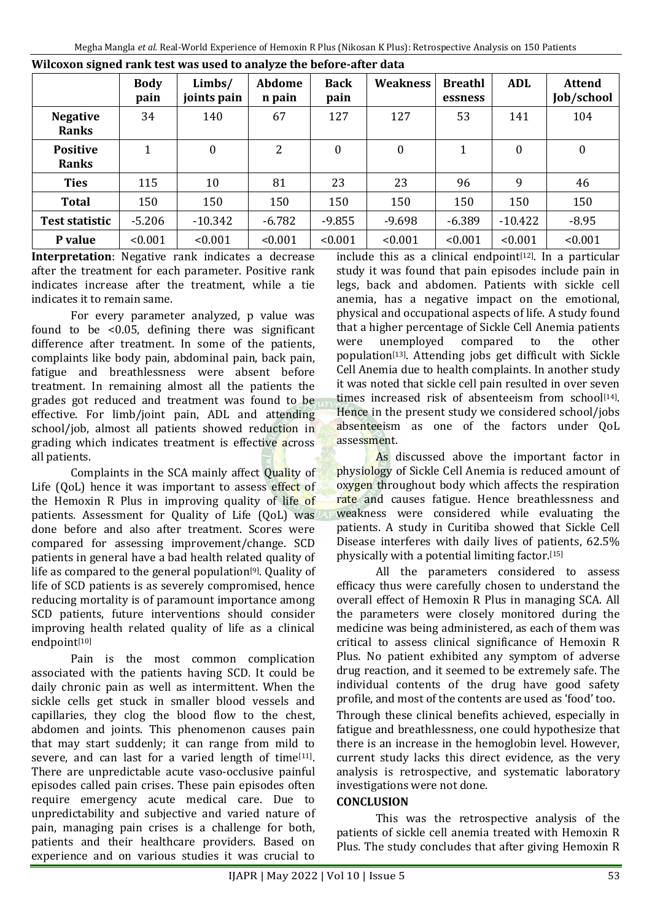|                                 | <b>Body</b><br>pain | Limbs/<br>joints pain | <b>Abdome</b><br>n pain | <b>Back</b><br>pain | <b>Weakness</b>  | <b>Breathl</b><br>essness | ADL              | <b>Attend</b><br>Job/school |
|---------------------------------|---------------------|-----------------------|-------------------------|---------------------|------------------|---------------------------|------------------|-----------------------------|
| <b>Negative</b><br><b>Ranks</b> | 34                  | 140                   | 67                      | 127                 | 127              | 53                        | 141              | 104                         |
| <b>Positive</b><br><b>Ranks</b> | $\mathbf 1$         | $\boldsymbol{0}$      | 2                       | $\mathbf{0}$        | $\boldsymbol{0}$ | 1                         | $\boldsymbol{0}$ | $\boldsymbol{0}$            |
| <b>Ties</b>                     | 115                 | 10                    | 81                      | 23                  | 23               | 96                        | 9                | 46                          |
| <b>Total</b>                    | 150                 | 150                   | 150                     | 150                 | 150              | 150                       | 150              | 150                         |
| <b>Test statistic</b>           | $-5.206$            | $-10.342$             | $-6.782$                | $-9.855$            | $-9.698$         | $-6.389$                  | $-10.422$        | $-8.95$                     |
| P value                         | < 0.001             | < 0.001               | < 0.001                 | < 0.001             | < 0.001          | < 0.001                   | < 0.001          | < 0.001                     |

#### **Wilcoxon signed rank test was used to analyze the before-after data**

**Interpretation**: Negative rank indicates a decrease after the treatment for each parameter. Positive rank indicates increase after the treatment, while a tie indicates it to remain same.

For every parameter analyzed, p value was found to be  $\leq 0.05$ , defining there was significant difference after treatment. In some of the patients, complaints like body pain, abdominal pain, back pain, fatigue and breathlessness were absent before treatment. In remaining almost all the patients the grades got reduced and treatment was found to be effective. For limb/joint pain, ADL and attending school/job, almost all patients showed reduction in grading which indicates treatment is effective across all patients.

Complaints in the SCA mainly affect Quality of Life (QoL) hence it was important to assess effect of the Hemoxin R Plus in improving quality of life of patients. Assessment for Quality of Life (QoL) was done before and also after treatment. Scores were compared for assessing improvement/change. SCD patients in general have a bad health related quality of life as compared to the general population<sup>[9]</sup>. Quality of life of SCD patients is as severely compromised, hence reducing mortality is of paramount importance among SCD patients, future interventions should consider improving health related quality of life as a clinical endpoint[10]

Pain is the most common complication associated with the patients having SCD. It could be daily chronic pain as well as intermittent. When the sickle cells get stuck in smaller blood vessels and capillaries, they clog the blood flow to the chest, abdomen and joints. This phenomenon causes pain that may start suddenly; it can range from mild to severe, and can last for a varied length of time $[11]$ . There are unpredictable acute vaso-occlusive painful episodes called pain crises. These pain episodes often require emergency acute medical care. Due to unpredictability and subjective and varied nature of pain, managing pain crises is a challenge for both, patients and their healthcare providers. Based on experience and on various studies it was crucial to

include this as a clinical endpoint $[12]$ . In a particular study it was found that pain episodes include pain in legs, back and abdomen. Patients with sickle cell anemia, has a negative impact on the emotional, physical and occupational aspects of life. A study found that a higher percentage of Sickle Cell Anemia patients were unemployed compared to the other population[13] . Attending jobs get difficult with Sickle Cell Anemia due to health complaints. In another study it was noted that sickle cell pain resulted in over seven times increased risk of absenteeism from school<sup>[14]</sup>. Hence in the present study we considered school/jobs absenteeism as one of the factors under QoL assessment.

As discussed above the important factor in physiology of Sickle Cell Anemia is reduced amount of oxygen throughout body which affects the respiration rate and causes fatigue. Hence breathlessness and weakness were considered while evaluating the patients. A study in Curitiba showed that Sickle Cell Disease interferes with daily lives of patients, 62.5% physically with a potential limiting factor. [15]

All the parameters considered to assess efficacy thus were carefully chosen to understand the overall effect of Hemoxin R Plus in managing SCA. All the parameters were closely monitored during the medicine was being administered, as each of them was critical to assess clinical significance of Hemoxin R Plus. No patient exhibited any symptom of adverse drug reaction, and it seemed to be extremely safe. The individual contents of the drug have good safety profile, and most of the contents are used as 'food' too.

Through these clinical benefits achieved, especially in fatigue and breathlessness, one could hypothesize that there is an increase in the hemoglobin level. However, current study lacks this direct evidence, as the very analysis is retrospective, and systematic laboratory investigations were not done.

#### **CONCLUSION**

This was the retrospective analysis of the patients of sickle cell anemia treated with Hemoxin R Plus. The study concludes that after giving Hemoxin R